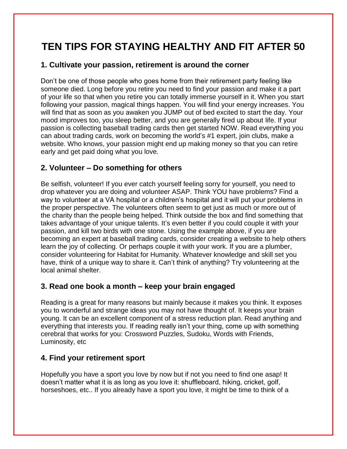# **TEN TIPS FOR STAYING HEALTHY AND FIT AFTER 50**

### **1. Cultivate your passion, retirement is around the corner**

Don't be one of those people who goes home from their retirement party feeling like someone died. Long before you retire you need to find your passion and make it a part of your life so that when you retire you can totally immerse yourself in it. When you start following your passion, magical things happen. You will find your energy increases. You will find that as soon as you awaken you JUMP out of bed excited to start the day. Your mood improves too, you sleep better, and you are generally fired up about life. If your passion is collecting baseball trading cards then get started NOW. Read everything you can about trading cards, work on becoming the world's #1 expert, join clubs, make a website. Who knows, your passion might end up making money so that you can retire early and get paid doing what you love.

## **2. Volunteer – Do something for others**

Be selfish, volunteer! If you ever catch yourself feeling sorry for yourself, you need to drop whatever you are doing and volunteer ASAP. Think YOU have problems? Find a way to volunteer at a VA hospital or a children's hospital and it will put your problems in the proper perspective. The volunteers often seem to get just as much or more out of the charity than the people being helped. Think outside the box and find something that takes advantage of your unique talents. It's even better if you could couple it with your passion, and kill two birds with one stone. Using the example above, if you are becoming an expert at baseball trading cards, consider creating a website to help others learn the joy of collecting. Or perhaps couple it with your work. If you are a plumber, consider volunteering for Habitat for Humanity. Whatever knowledge and skill set you have, think of a unique way to share it. Can't think of anything? Try volunteering at the local animal shelter.

## **3. Read one book a month – keep your brain engaged**

Reading is a great for many reasons but mainly because it makes you think. It exposes you to wonderful and strange ideas you may not have thought of. It keeps your brain young. It can be an excellent component of a stress reduction plan. Read anything and everything that interests you. If reading really isn't your thing, come up with something cerebral that works for you: Crossword Puzzles, Sudoku, Words with Friends, Luminosity, etc

## **4. Find your retirement sport**

Hopefully you have a sport you love by now but if not you need to find one asap! It doesn't matter what it is as long as you love it: shuffleboard, hiking, cricket, golf, horseshoes, etc.. If you already have a sport you love, it might be time to think of a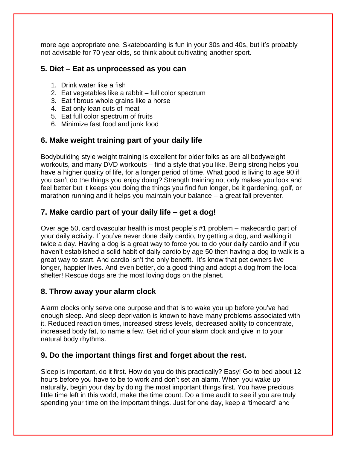more age appropriate one. Skateboarding is fun in your 30s and 40s, but it's probably not advisable for 70 year olds, so think about cultivating another sport.

#### **5. Diet – Eat as unprocessed as you can**

- 1. Drink water like a fish
- 2. Eat vegetables like a rabbit full color spectrum
- 3. Eat fibrous whole grains like a horse
- 4. Eat only lean cuts of meat
- 5. Eat full color spectrum of fruits
- 6. Minimize fast food and junk food

#### **6. Make weight training part of your daily life**

Bodybuilding style weight training is excellent for older folks as are all bodyweight workouts, and many DVD workouts – find a style that you like. Being strong helps you have a higher quality of life, for a longer period of time. What good is living to age 90 if you can't do the things you enjoy doing? Strength training not only makes you look and feel better but it keeps you doing the things you find fun longer, be it gardening, golf, or marathon running and it helps you maintain your balance – a great fall preventer.

## **7. Make cardio part of your daily life – get a dog!**

Over age 50, cardiovascular health is most people's #1 problem – makecardio part of your daily activity. If you've never done daily cardio, try getting a dog, and walking it twice a day. Having a dog is a great way to force you to do your daily cardio and if you haven't established a solid habit of daily cardio by age 50 then having a dog to walk is a great way to start. And cardio isn't the only benefit. It's know that pet owners live longer, happier lives. And even better, do a good thing and adopt a dog from the local shelter! Rescue dogs are the most loving dogs on the planet.

#### **8. Throw away your alarm clock**

Alarm clocks only serve one purpose and that is to wake you up before you've had enough sleep. And sleep deprivation is known to have many problems associated with it. Reduced reaction times, increased stress levels, decreased ability to concentrate, increased body fat, to name a few. Get rid of your alarm clock and give in to your natural body rhythms.

#### **9. Do the important things first and forget about the rest.**

Sleep is important, do it first. How do you do this practically? Easy! Go to bed about 12 hours before you have to be to work and don't set an alarm. When you wake up naturally, begin your day by doing the most important things first. You have precious little time left in this world, make the time count. Do a time audit to see if you are truly spending your time on the important things. Just for one day, keep a 'timecard' and